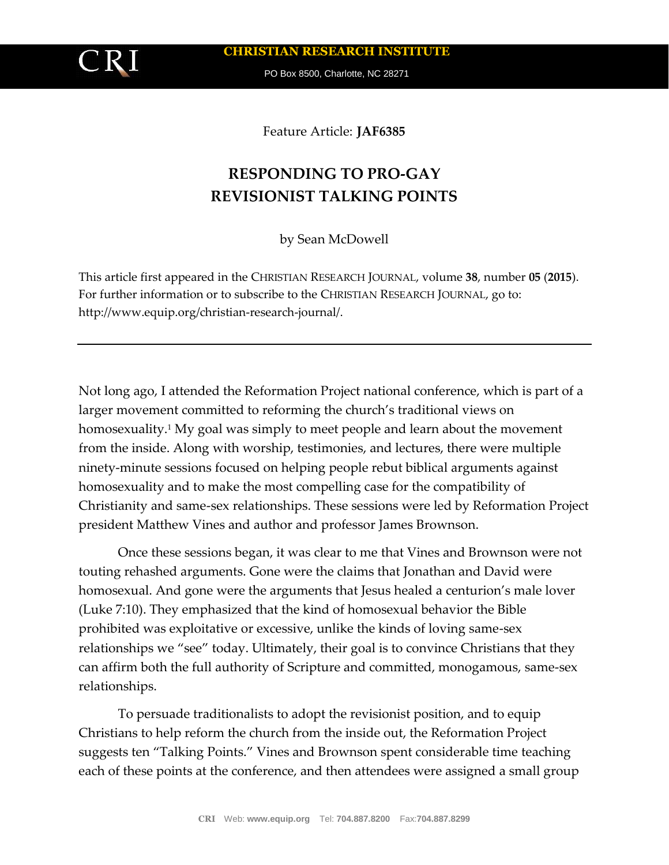**CHRISTIAN RESEARCH INSTITUTE**

PO Box 8500, Charlotte, NC 28271

Feature Article: **JAF6385**

# **RESPONDING TO PRO-GAY REVISIONIST TALKING POINTS**

by Sean McDowell

This article first appeared in the CHRISTIAN RESEARCH JOURNAL, volume **38**, number **05** (**2015**). For further information or to subscribe to the CHRISTIAN RESEARCH JOURNAL, go to: http://www.equip.org/christian-research-journal/.

Not long ago, I attended the Reformation Project national conference, which is part of a larger movement committed to reforming the church's traditional views on homosexuality.<sup>1</sup> My goal was simply to meet people and learn about the movement from the inside. Along with worship, testimonies, and lectures, there were multiple ninety-minute sessions focused on helping people rebut biblical arguments against homosexuality and to make the most compelling case for the compatibility of Christianity and same-sex relationships. These sessions were led by Reformation Project president Matthew Vines and author and professor James Brownson.

Once these sessions began, it was clear to me that Vines and Brownson were not touting rehashed arguments. Gone were the claims that Jonathan and David were homosexual. And gone were the arguments that Jesus healed a centurion's male lover (Luke 7:10). They emphasized that the kind of homosexual behavior the Bible prohibited was exploitative or excessive, unlike the kinds of loving same-sex relationships we "see" today. Ultimately, their goal is to convince Christians that they can affirm both the full authority of Scripture and committed, monogamous, same-sex relationships.

To persuade traditionalists to adopt the revisionist position, and to equip Christians to help reform the church from the inside out, the Reformation Project suggests ten "Talking Points." Vines and Brownson spent considerable time teaching each of these points at the conference, and then attendees were assigned a small group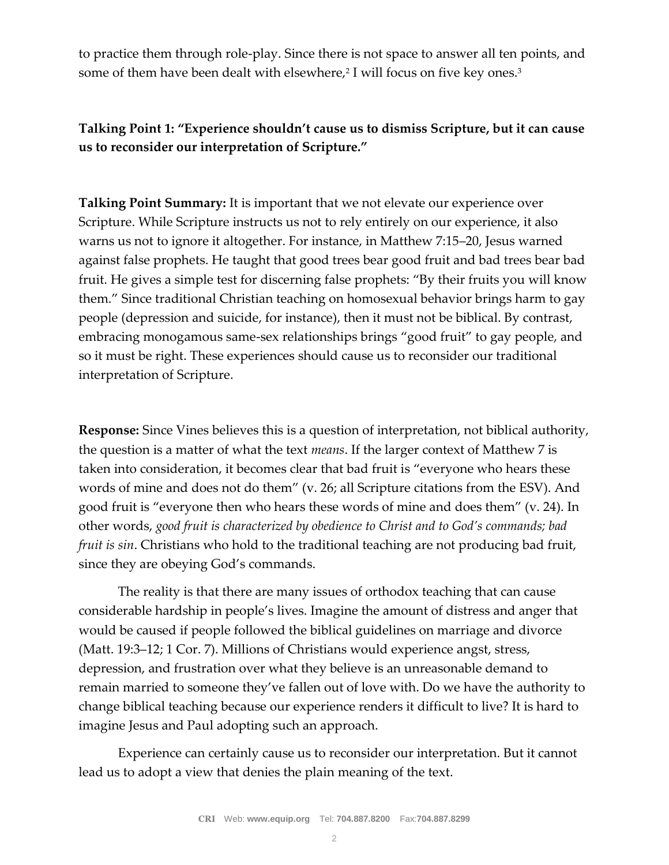to practice them through role-play. Since there is not space to answer all ten points, and some of them have been dealt with elsewhere,<sup>2</sup> I will focus on five key ones.<sup>3</sup>

#### **Talking Point 1: "Experience shouldn't cause us to dismiss Scripture, but it can cause us to reconsider our interpretation of Scripture."**

**Talking Point Summary:** It is important that we not elevate our experience over Scripture. While Scripture instructs us not to rely entirely on our experience, it also warns us not to ignore it altogether. For instance, in Matthew 7:15–20, Jesus warned against false prophets. He taught that good trees bear good fruit and bad trees bear bad fruit. He gives a simple test for discerning false prophets: "By their fruits you will know them." Since traditional Christian teaching on homosexual behavior brings harm to gay people (depression and suicide, for instance), then it must not be biblical. By contrast, embracing monogamous same-sex relationships brings "good fruit" to gay people, and so it must be right. These experiences should cause us to reconsider our traditional interpretation of Scripture.

**Response:** Since Vines believes this is a question of interpretation, not biblical authority, the question is a matter of what the text *means*. If the larger context of Matthew 7 is taken into consideration, it becomes clear that bad fruit is "everyone who hears these words of mine and does not do them" (v. 26; all Scripture citations from the ESV). And good fruit is "everyone then who hears these words of mine and does them" (v. 24). In other words, *good fruit is characterized by obedience to Christ and to God's commands; bad fruit is sin*. Christians who hold to the traditional teaching are not producing bad fruit, since they are obeying God's commands.

The reality is that there are many issues of orthodox teaching that can cause considerable hardship in people's lives. Imagine the amount of distress and anger that would be caused if people followed the biblical guidelines on marriage and divorce (Matt. 19:3–12; 1 Cor. 7). Millions of Christians would experience angst, stress, depression, and frustration over what they believe is an unreasonable demand to remain married to someone they've fallen out of love with. Do we have the authority to change biblical teaching because our experience renders it difficult to live? It is hard to imagine Jesus and Paul adopting such an approach.

Experience can certainly cause us to reconsider our interpretation. But it cannot lead us to adopt a view that denies the plain meaning of the text.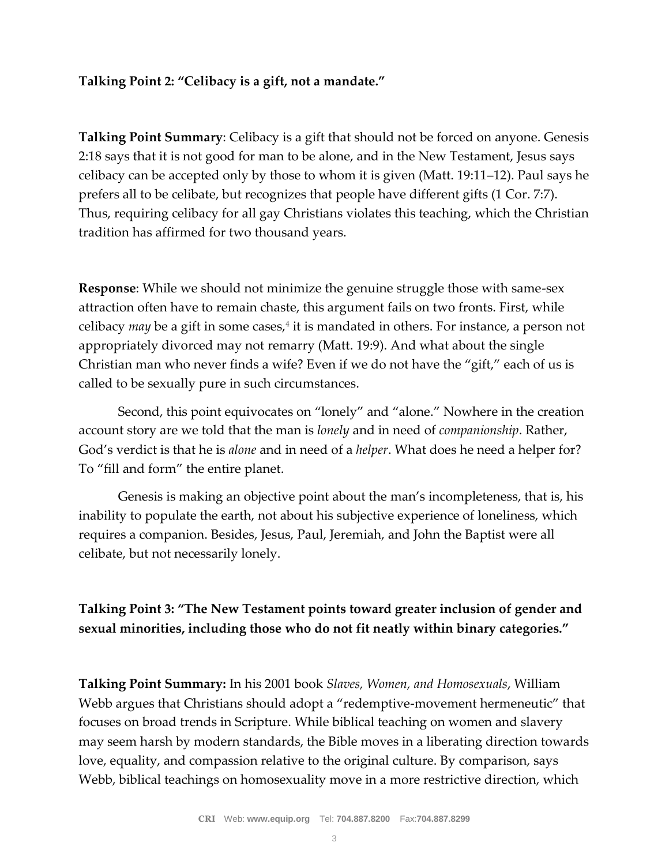#### **Talking Point 2: "Celibacy is a gift, not a mandate."**

**Talking Point Summary**: Celibacy is a gift that should not be forced on anyone. Genesis 2:18 says that it is not good for man to be alone, and in the New Testament, Jesus says celibacy can be accepted only by those to whom it is given (Matt. 19:11–12). Paul says he prefers all to be celibate, but recognizes that people have different gifts (1 Cor. 7:7). Thus, requiring celibacy for all gay Christians violates this teaching, which the Christian tradition has affirmed for two thousand years.

**Response**: While we should not minimize the genuine struggle those with same-sex attraction often have to remain chaste, this argument fails on two fronts. First, while celibacy *may* be a gift in some cases,<sup>4</sup> it is mandated in others. For instance, a person not appropriately divorced may not remarry (Matt. 19:9). And what about the single Christian man who never finds a wife? Even if we do not have the "gift," each of us is called to be sexually pure in such circumstances.

Second, this point equivocates on "lonely" and "alone." Nowhere in the creation account story are we told that the man is *lonely* and in need of *companionship*. Rather, God's verdict is that he is *alone* and in need of a *helper*. What does he need a helper for? To "fill and form" the entire planet.

Genesis is making an objective point about the man's incompleteness, that is, his inability to populate the earth, not about his subjective experience of loneliness, which requires a companion. Besides, Jesus, Paul, Jeremiah, and John the Baptist were all celibate, but not necessarily lonely.

#### **Talking Point 3: "The New Testament points toward greater inclusion of gender and sexual minorities, including those who do not fit neatly within binary categories."**

**Talking Point Summary:** In his 2001 book *Slaves, Women, and Homosexuals*, William Webb argues that Christians should adopt a "redemptive-movement hermeneutic" that focuses on broad trends in Scripture. While biblical teaching on women and slavery may seem harsh by modern standards, the Bible moves in a liberating direction towards love, equality, and compassion relative to the original culture. By comparison, says Webb, biblical teachings on homosexuality move in a more restrictive direction, which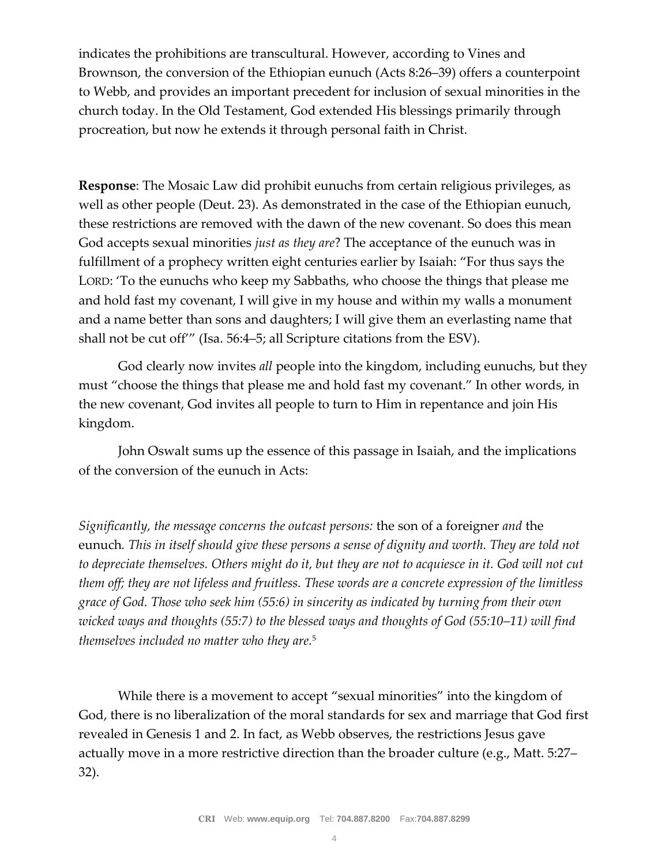indicates the prohibitions are transcultural. However, according to Vines and Brownson, the conversion of the Ethiopian eunuch (Acts 8:26–39) offers a counterpoint to Webb, and provides an important precedent for inclusion of sexual minorities in the church today. In the Old Testament, God extended His blessings primarily through procreation, but now he extends it through personal faith in Christ.

**Response**: The Mosaic Law did prohibit eunuchs from certain religious privileges, as well as other people (Deut. 23). As demonstrated in the case of the Ethiopian eunuch, these restrictions are removed with the dawn of the new covenant. So does this mean God accepts sexual minorities *just as they are*? The acceptance of the eunuch was in fulfillment of a prophecy written eight centuries earlier by Isaiah: "For thus says the LORD: 'To the eunuchs who keep my Sabbaths, who choose the things that please me and hold fast my covenant, I will give in my house and within my walls a monument and a name better than sons and daughters; I will give them an everlasting name that shall not be cut off'" (Isa. 56:4–5; all Scripture citations from the ESV).

God clearly now invites *all* people into the kingdom, including eunuchs, but they must "choose the things that please me and hold fast my covenant." In other words, in the new covenant, God invites all people to turn to Him in repentance and join His kingdom.

John Oswalt sums up the essence of this passage in Isaiah, and the implications of the conversion of the eunuch in Acts:

*Significantly, the message concerns the outcast persons:* the son of a foreigner *and* the eunuch*. This in itself should give these persons a sense of dignity and worth. They are told not to depreciate themselves. Others might do it, but they are not to acquiesce in it. God will not cut them off; they are not lifeless and fruitless. These words are a concrete expression of the limitless grace of God. Those who seek him (55:6) in sincerity as indicated by turning from their own wicked ways and thoughts (55:7) to the blessed ways and thoughts of God (55:10–11) will find themselves included no matter who they are.*<sup>5</sup>

While there is a movement to accept "sexual minorities" into the kingdom of God, there is no liberalization of the moral standards for sex and marriage that God first revealed in Genesis 1 and 2. In fact, as Webb observes, the restrictions Jesus gave actually move in a more restrictive direction than the broader culture (e.g., Matt. 5:27– 32).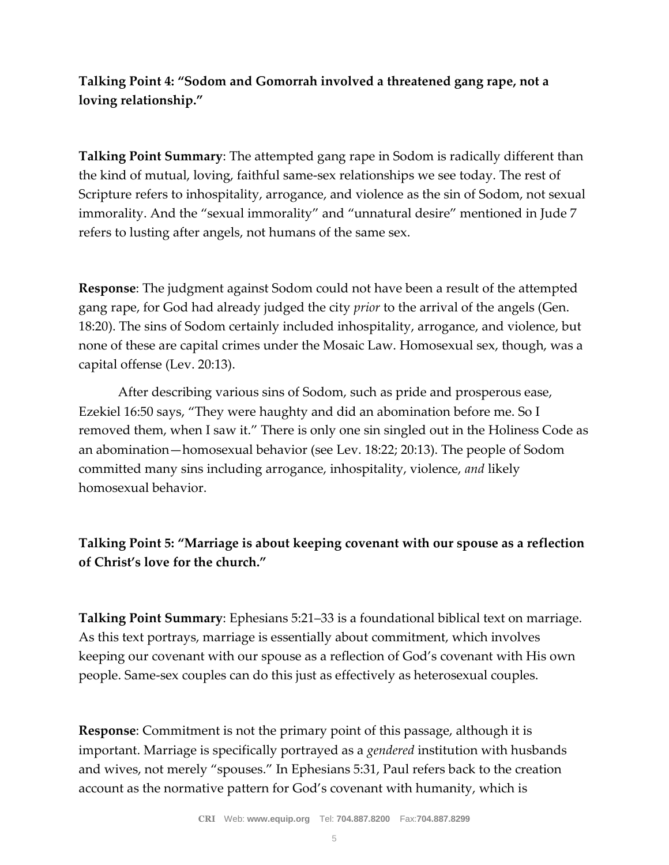### **Talking Point 4: "Sodom and Gomorrah involved a threatened gang rape, not a loving relationship."**

**Talking Point Summary**: The attempted gang rape in Sodom is radically different than the kind of mutual, loving, faithful same-sex relationships we see today. The rest of Scripture refers to inhospitality, arrogance, and violence as the sin of Sodom, not sexual immorality. And the "sexual immorality" and "unnatural desire" mentioned in Jude 7 refers to lusting after angels, not humans of the same sex.

**Response**: The judgment against Sodom could not have been a result of the attempted gang rape, for God had already judged the city *prior* to the arrival of the angels (Gen. 18:20). The sins of Sodom certainly included inhospitality, arrogance, and violence, but none of these are capital crimes under the Mosaic Law. Homosexual sex, though, was a capital offense (Lev. 20:13).

After describing various sins of Sodom, such as pride and prosperous ease, Ezekiel 16:50 says, "They were haughty and did an abomination before me. So I removed them, when I saw it." There is only one sin singled out in the Holiness Code as an abomination—homosexual behavior (see Lev. 18:22; 20:13). The people of Sodom committed many sins including arrogance, inhospitality, violence, *and* likely homosexual behavior.

## **Talking Point 5: "Marriage is about keeping covenant with our spouse as a reflection of Christ's love for the church."**

**Talking Point Summary**: Ephesians 5:21–33 is a foundational biblical text on marriage. As this text portrays, marriage is essentially about commitment, which involves keeping our covenant with our spouse as a reflection of God's covenant with His own people. Same-sex couples can do this just as effectively as heterosexual couples.

**Response**: Commitment is not the primary point of this passage, although it is important. Marriage is specifically portrayed as a *gendered* institution with husbands and wives, not merely "spouses." In Ephesians 5:31, Paul refers back to the creation account as the normative pattern for God's covenant with humanity, which is